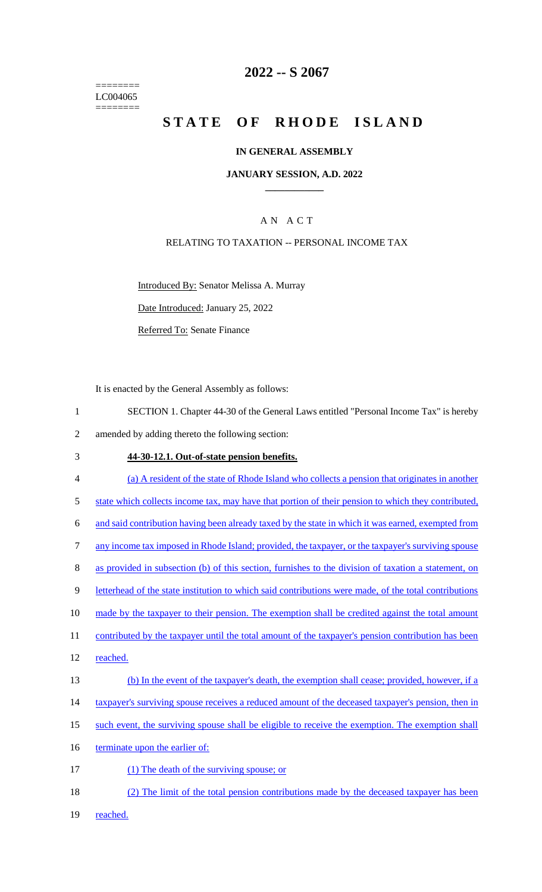======== LC004065 ========

### **2022 -- S 2067**

# **STATE OF RHODE ISLAND**

#### **IN GENERAL ASSEMBLY**

#### **JANUARY SESSION, A.D. 2022 \_\_\_\_\_\_\_\_\_\_\_\_**

### A N A C T

### RELATING TO TAXATION -- PERSONAL INCOME TAX

Introduced By: Senator Melissa A. Murray

Date Introduced: January 25, 2022

Referred To: Senate Finance

It is enacted by the General Assembly as follows:

- 1 SECTION 1. Chapter 44-30 of the General Laws entitled "Personal Income Tax" is hereby 2 amended by adding thereto the following section:
- 3 **44-30-12.1. Out-of-state pension benefits.**
- 4 (a) A resident of the state of Rhode Island who collects a pension that originates in another 5 state which collects income tax, may have that portion of their pension to which they contributed, 6 and said contribution having been already taxed by the state in which it was earned, exempted from 7 any income tax imposed in Rhode Island; provided, the taxpayer, or the taxpayer's surviving spouse 8 as provided in subsection (b) of this section, furnishes to the division of taxation a statement, on 9 letterhead of the state institution to which said contributions were made, of the total contributions 10 made by the taxpayer to their pension. The exemption shall be credited against the total amount 11 contributed by the taxpayer until the total amount of the taxpayer's pension contribution has been 12 reached. 13 (b) In the event of the taxpayer's death, the exemption shall cease; provided, however, if a 14 taxpayer's surviving spouse receives a reduced amount of the deceased taxpayer's pension, then in 15 such event, the surviving spouse shall be eligible to receive the exemption. The exemption shall 16 terminate upon the earlier of: 17 (1) The death of the surviving spouse; or 18 (2) The limit of the total pension contributions made by the deceased taxpayer has been
- 19 reached.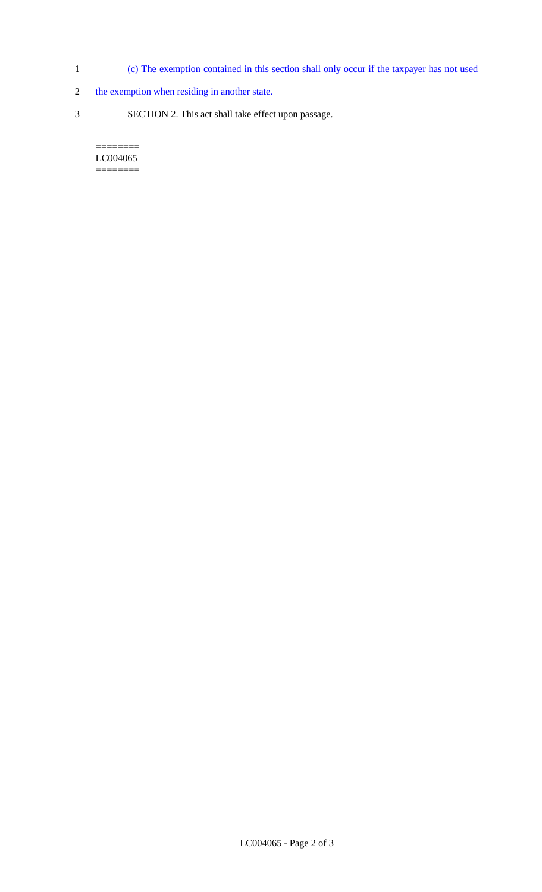- 1 (c) The exemption contained in this section shall only occur if the taxpayer has not used
- 2 the exemption when residing in another state.
- 3 SECTION 2. This act shall take effect upon passage.

 $=$ LC004065 ========